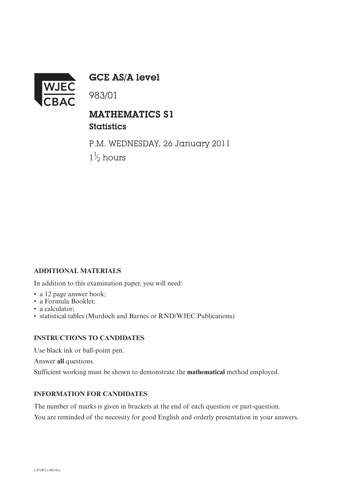

GCE AS/A level

983/01

## MATHEMATICS S1

**Statistics** 

P.M. WEDNESDAY, 26 January 2011  $1\frac{1}{2}$  hours ⁄

## **ADDITIONAL MATERIALS**

In addition to this examination paper, you will need:

- a 12 page answer book;
- a Formula Booklet;
- a calculator:
- statistical tables (Murdoch and Barnes or RND/WJEC Publications)

## **INSTRUCTIONS TO CANDIDATES**

Use black ink or ball-point pen.

Answer **all** questions.

Sufficient working must be shown to demonstrate the **mathematical** method employed.

## **INFORMATION FOR CANDIDATES**

The number of marks is given in brackets at the end of each question or part-question. You are reminded of the necessity for good English and orderly presentation in your answers.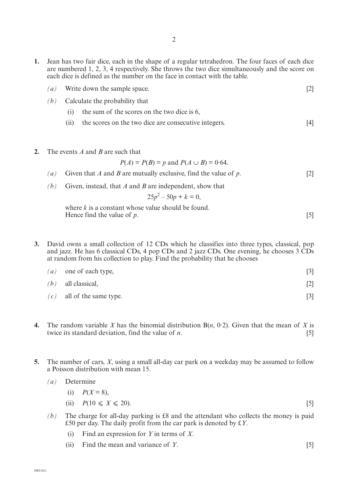- **1.** Jean has two fair dice, each in the shape of a regular tetrahedron. The four faces of each dice are numbered 1, 2, 3, 4 respectively. She throws the two dice simultaneously and the score on each dice is defined as the number on the face in contact with the table.
	- *(a)* Write down the sample space. [2]
	- *(b)* Calculate the probability that
		- (i) the sum of the scores on the two dice is 6,
		- (ii) the scores on the two dice are consecutive integers. [4]
- **2.** The events *A* and *B* are such that

$$
P(A) = P(B) = p
$$
 and  $P(A \cup B) = 0.64$ .

- *(a)* Given that *A* and *B* are mutually exclusive, find the value of *p*. [2]
- *(b)* Given, instead, that *A* and *B* are independent, show that

$$
25p^2 - 50p + k = 0,
$$

where *k* is a constant whose value should be found. Hence find the value of  $p$ .  $[5]$ 

- **3.** David owns a small collection of 12 CDs which he classifies into three types, classical, pop and jazz. He has 6 classical CDs, 4 pop CDs and 2 jazz CDs. One evening, he chooses 3 CDs at random from his collection to play. Find the probability that he chooses
	- $(a)$  one of each type, [3] *(b)* all classical, [2]
	- $(c)$  all of the same type. [3]
- **4.** The random variable *X* has the binomial distribution B(*n*, 0·2). Given that the mean of *X* is twice its standard deviation, find the value of *n*. [5]
- **5.** The number of cars, *X*, using a small all-day car park on a weekday may be assumed to follow a Poisson distribution with mean 15.
	- *(a)* Determine

$$
(i) \quad P(X=8),
$$

- (ii)  $P(10 \le X \le 20)$ . [5]
- *(b)* The charge for all-day parking is £8 and the attendant who collects the money is paid £50 per day. The daily profit from the car park is denoted by £*Y*.
	- (i) Find an expression for *Y* in terms of *X*.
	- (ii) Find the mean and variance of *Y*. [5]